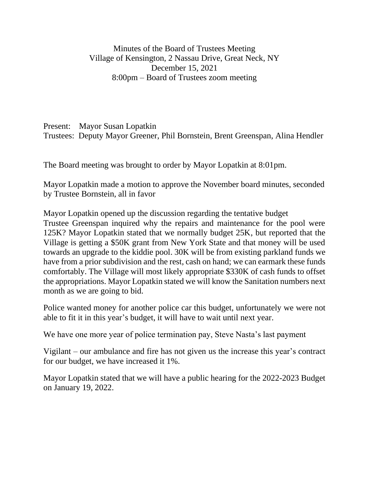Minutes of the Board of Trustees Meeting Village of Kensington, 2 Nassau Drive, Great Neck, NY December 15, 2021 8:00pm – Board of Trustees zoom meeting

Present: Mayor Susan Lopatkin Trustees: Deputy Mayor Greener, Phil Bornstein, Brent Greenspan, Alina Hendler

The Board meeting was brought to order by Mayor Lopatkin at 8:01pm.

Mayor Lopatkin made a motion to approve the November board minutes, seconded by Trustee Bornstein, all in favor

Mayor Lopatkin opened up the discussion regarding the tentative budget Trustee Greenspan inquired why the repairs and maintenance for the pool were 125K? Mayor Lopatkin stated that we normally budget 25K, but reported that the Village is getting a \$50K grant from New York State and that money will be used towards an upgrade to the kiddie pool. 30K will be from existing parkland funds we have from a prior subdivision and the rest, cash on hand; we can earmark these funds comfortably. The Village will most likely appropriate \$330K of cash funds to offset the appropriations. Mayor Lopatkin stated we will know the Sanitation numbers next month as we are going to bid.

Police wanted money for another police car this budget, unfortunately we were not able to fit it in this year's budget, it will have to wait until next year.

We have one more year of police termination pay, Steve Nasta's last payment

Vigilant – our ambulance and fire has not given us the increase this year's contract for our budget, we have increased it 1%.

Mayor Lopatkin stated that we will have a public hearing for the 2022-2023 Budget on January 19, 2022.